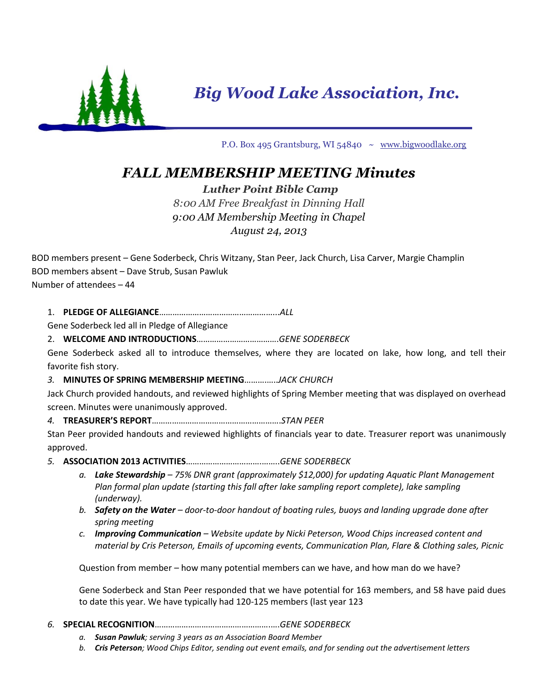

*Big Wood Lake Association, Inc.*

P.O. Box 495 Grantsburg, WI 54840 ~ [www.bigwoodlake.org](http://www.bigwoodlake.org/)

# *FALL MEMBERSHIP MEETING Minutes*

## *Luther Point Bible Camp*

# *8:00 AM Free Breakfast in Dinning Hall 9:00 AM Membership Meeting in Chapel August 24, 2013*

BOD members present – Gene Soderbeck, Chris Witzany, Stan Peer, Jack Church, Lisa Carver, Margie Champlin BOD members absent – Dave Strub, Susan Pawluk Number of attendees – 44

1. **PLEDGE OF ALLEGIANCE**……………………………………………...*ALL*

Gene Soderbeck led all in Pledge of Allegiance

### 2. **WELCOME AND INTRODUCTIONS**……………………………….*GENE SODERBECK*

Gene Soderbeck asked all to introduce themselves, where they are located on lake, how long, and tell their favorite fish story.

### *3.* **MINUTES OF SPRING MEMBERSHIP MEETING**……….…..*JACK CHURCH*

Jack Church provided handouts, and reviewed highlights of Spring Member meeting that was displayed on overhead screen. Minutes were unanimously approved.

### *4.* **TREASURER'S REPORT**………………………………………………….*STAN PEER*

Stan Peer provided handouts and reviewed highlights of financials year to date. Treasurer report was unanimously approved.

- *5.* **ASSOCIATION 2013 ACTIVITIES**…………………………….……..*GENE SODERBECK*
	- *a. Lake Stewardship – 75% DNR grant (approximately \$12,000) for updating Aquatic Plant Management Plan formal plan update (starting this fall after lake sampling report complete), lake sampling (underway).*
	- *b. Safety on the Water – door-to-door handout of boating rules, buoys and landing upgrade done after spring meeting*
	- *c. Improving Communication – Website update by Nicki Peterson, Wood Chips increased content and material by Cris Peterson, Emails of upcoming events, Communication Plan, Flare & Clothing sales, Picnic*

Question from member – how many potential members can we have, and how man do we have?

Gene Soderbeck and Stan Peer responded that we have potential for 163 members, and 58 have paid dues to date this year. We have typically had 120-125 members (last year 123

#### *6.* **SPECIAL RECOGNITION**…………………………………………….….*GENE SODERBECK*

- *a. Susan Pawluk; serving 3 years as an Association Board Member*
- *b. Cris Peterson; Wood Chips Editor, sending out event emails, and for sending out the advertisement letters*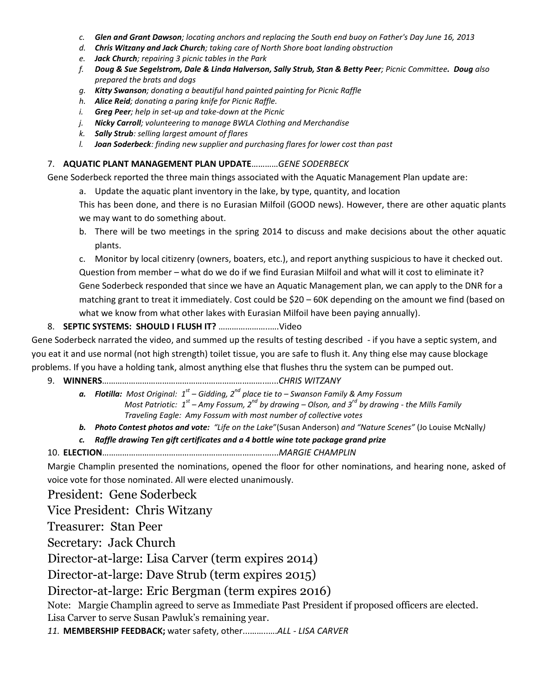- *c. Glen and Grant Dawson; locating anchors and replacing the South end buoy on Father's Day June 16, 2013*
- *d. Chris Witzany and Jack Church; taking care of North Shore boat landing obstruction*
- *e. Jack Church; repairing 3 picnic tables in the Park*
- *f. Doug & Sue Segelstrom, Dale & Linda Halverson, Sally Strub, Stan & Betty Peer; Picnic Committee. Doug also prepared the brats and dogs*
- *g. Kitty Swanson; donating a beautiful hand painted painting for Picnic Raffle*
- *h. Alice Reid; donating a paring knife for Picnic Raffle.*
- *i. Greg Peer; help in set-up and take-down at the Picnic*
- *j. Nicky Carroll; volunteering to manage BWLA Clothing and Merchandise*
- *k. Sally Strub: selling largest amount of flares*
- *l. Joan Soderbeck: finding new supplier and purchasing flares for lower cost than past*

#### 7. **AQUATIC PLANT MANAGEMENT PLAN UPDATE**…………*GENE SODERBECK*

Gene Soderbeck reported the three main things associated with the Aquatic Management Plan update are:

a. Update the aquatic plant inventory in the lake, by type, quantity, and location

This has been done, and there is no Eurasian Milfoil (GOOD news). However, there are other aquatic plants we may want to do something about.

b. There will be two meetings in the spring 2014 to discuss and make decisions about the other aquatic plants.

c. Monitor by local citizenry (owners, boaters, etc.), and report anything suspicious to have it checked out. Question from member – what do we do if we find Eurasian Milfoil and what will it cost to eliminate it? Gene Soderbeck responded that since we have an Aquatic Management plan, we can apply to the DNR for a matching grant to treat it immediately. Cost could be \$20 – 60K depending on the amount we find (based on what we know from what other lakes with Eurasian Milfoil have been paying annually).

#### 8. **SEPTIC SYSTEMS: SHOULD I FLUSH IT?** …………………..….Video

Gene Soderbeck narrated the video, and summed up the results of testing described - if you have a septic system, and you eat it and use normal (not high strength) toilet tissue, you are safe to flush it. Any thing else may cause blockage problems. If you have a holding tank, almost anything else that flushes thru the system can be pumped out.

- 9. **WINNERS**……………………………………………………………….…...*CHRIS WITZANY*
	- *a. Flotilla: Most Original: 1 st – Gidding, 2nd place tie to – Swanson Family & Amy Fossum Most Patriotic: 1 st – Amy Fossum, 2nd by drawing – Olson, and 3rd by drawing - the Mills Family Traveling Eagle: Amy Fossum with most number of collective votes*
	- *b. Photo Contest photos and vote: "Life on the Lake*"(Susan Anderson) *and "Nature Scenes"* (Jo Louise McNally*)*
	- *c. Raffle drawing Ten gift certificates and a 4 bottle wine tote package grand prize*

10. **ELECTION**……………………………………………………………….…...*MARGIE CHAMPLIN*

Margie Champlin presented the nominations, opened the floor for other nominations, and hearing none, asked of voice vote for those nominated. All were elected unanimously.

President: Gene Soderbeck

Vice President: Chris Witzany

Treasurer: Stan Peer

Secretary: Jack Church

Director-at-large: Lisa Carver (term expires 2014)

Director-at-large: Dave Strub (term expires 2015)

Director-at-large: Eric Bergman (term expires 2016)

Note: Margie Champlin agreed to serve as Immediate Past President if proposed officers are elected. Lisa Carver to serve Susan Pawluk's remaining year.

*11.* **MEMBERSHIP FEEDBACK;** water safety, other...……..….*ALL - LISA CARVER*